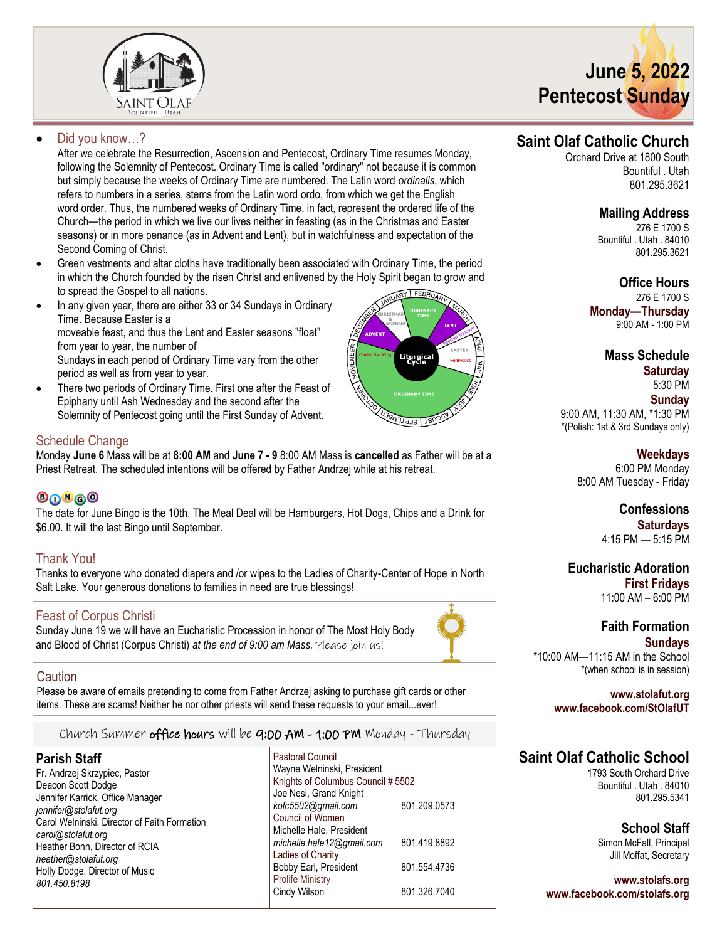



# Did you know...?

After we celebrate the Resurrection, Ascension and Pentecost, Ordinary Time resumes Monday, following the Solemnity of Pentecost. Ordinary Time is called "ordinary" not because it is common but simply because the weeks of Ordinary Time are numbered. The Latin word *ordinalis*, which refers to numbers in a series, stems from the Latin word ordo, from which we get the English word order. Thus, the numbered weeks of Ordinary Time, in fact, represent the ordered life of the Church—the period in which we live our lives neither in feasting (as in the Christmas and Easter seasons) or in more penance (as in Advent and Lent), but in watchfulness and expectation of the Second Coming of Christ.

- Green vestments and altar cloths have traditionally been associated with Ordinary Time, the period in which the Church founded by the risen Christ and enlivened by the Holy Spirit began to grow and to spread the Gospel to all nations.
- In any given year, there are either 33 or 34 Sundays in Ordinary Time. Because Easter is a moveable feast, and thus the Lent and Easter seasons "float" from year to year, the number of Sundays in each period of Ordinary Time vary from the other period as well as from year to year.
- There two periods of Ordinary Time. First one after the Feast of Epiphany until Ash Wednesday and the second after the Solemnity of Pentecost going until the First Sunday of Advent.

# Liturgical<br>Cycle **AT LISEPTE**

# Schedule Change

Monday **June 6** Mass will be at **8:00 AM** and **June 7 - 9** 8:00 AM Mass is **cancelled** as Father will be at a Priest Retreat. The scheduled intentions will be offered by Father Andrzej while at his retreat.

# **©∩®**⋒©

The date for June Bingo is the 10th. The Meal Deal will be Hamburgers, Hot Dogs, Chips and a Drink for \$6.00. It will the last Bingo until September.

# Thank You!

Thanks to everyone who donated diapers and /or wipes to the Ladies of Charity-Center of Hope in North Salt Lake. Your generous donations to families in need are true blessings!

# Feast of Corpus Christi

Sunday June 19 we will have an Eucharistic Procession in honor of The Most Holy Body and Blood of Christ (Corpus Christi) *at the end of 9:00 am Mass.* Please join us!

# **Caution**

Please be aware of emails pretending to come from Father Andrzej asking to purchase gift cards or other items. These are scams! Neither he nor other priests will send these requests to your email...ever!

Church Summer office hours will be 9:00 AM - 1:00 PM Monday - Thursday

# **Parish Staff**

- Fr. Andrzej Skrzypiec, Pastor Deacon Scott Dodge Jennifer Karrick, Office Manager *jennifer@stolafut.org* Carol Welninski, Director of Faith Formation *carol@stolafut.org* Heather Bonn, Director of RCIA *heather@stolafut.org* Holly Dodge, Director of Music *801.450.8198*
- Pastoral Council Wayne Welninski, President Knights of Columbus Council # 5502 Joe Nesi, Grand Knight *kofc5502@gmail.com* 801.209.0573 Council of Women Michelle Hale, President *michelle.hale12@gmail.com* 801.419.8892 Ladies of Charity Bobby Earl, President 801.554.4736 Prolife Ministry Cindy Wilson 801.326.7040

# **Saint Olaf Catholic Church**

Orchard Drive at 1800 South Bountiful . Utah 801.295.3621

# **Mailing Address**

276 E 1700 S Bountiful . Utah . 84010 801.295.3621

**Office Hours** 276 E 1700 S **Monday—Thursday**  9:00 AM - 1:00 PM

> **Mass Schedule Saturday**

5:30 PM **Sunday** 9:00 AM, 11:30 AM, \*1:30 PM \*(Polish: 1st & 3rd Sundays only)

> **Weekdays** 6:00 PM Monday 8:00 AM Tuesday - Friday

> > **Confessions Saturdays** 4:15 PM — 5:15 PM

**Eucharistic Adoration First Fridays** 11:00 AM – 6:00 PM

# **Faith Formation Sundays** \*10:00 AM—11:15 AM in the School \*(when school is in session)

**www.stolafut.org**

**www.facebook.com/StOlafUT**

# **Saint Olaf Catholic School**

1793 South Orchard Drive Bountiful . Utah . 84010 801.295.5341

> **School Staff** Simon McFall, Principal Jill Moffat, Secretary

**www.stolafs.org www.facebook.com/stolafs.org**